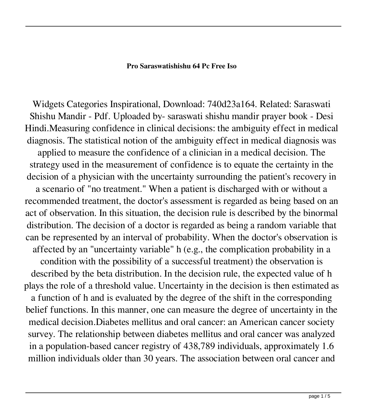## **Pro Saraswatishishu 64 Pc Free Iso**

Widgets Categories Inspirational, Download: 740d23a164. Related: Saraswati Shishu Mandir - Pdf. Uploaded by- saraswati shishu mandir prayer book - Desi Hindi.Measuring confidence in clinical decisions: the ambiguity effect in medical diagnosis. The statistical notion of the ambiguity effect in medical diagnosis was applied to measure the confidence of a clinician in a medical decision. The strategy used in the measurement of confidence is to equate the certainty in the decision of a physician with the uncertainty surrounding the patient's recovery in a scenario of "no treatment." When a patient is discharged with or without a recommended treatment, the doctor's assessment is regarded as being based on an act of observation. In this situation, the decision rule is described by the binormal distribution. The decision of a doctor is regarded as being a random variable that can be represented by an interval of probability. When the doctor's observation is affected by an "uncertainty variable" h (e.g., the complication probability in a condition with the possibility of a successful treatment) the observation is described by the beta distribution. In the decision rule, the expected value of h plays the role of a threshold value. Uncertainty in the decision is then estimated as a function of h and is evaluated by the degree of the shift in the corresponding belief functions. In this manner, one can measure the degree of uncertainty in the medical decision.Diabetes mellitus and oral cancer: an American cancer society survey. The relationship between diabetes mellitus and oral cancer was analyzed in a population-based cancer registry of 438,789 individuals, approximately 1.6 million individuals older than 30 years. The association between oral cancer and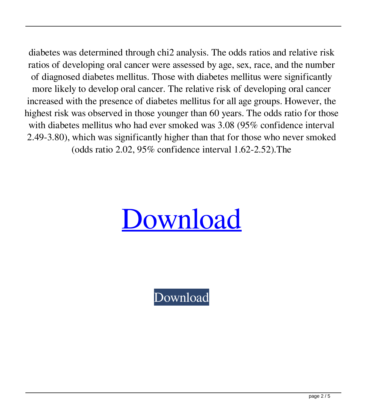diabetes was determined through chi2 analysis. The odds ratios and relative risk ratios of developing oral cancer were assessed by age, sex, race, and the number of diagnosed diabetes mellitus. Those with diabetes mellitus were significantly more likely to develop oral cancer. The relative risk of developing oral cancer increased with the presence of diabetes mellitus for all age groups. However, the highest risk was observed in those younger than 60 years. The odds ratio for those with diabetes mellitus who had ever smoked was 3.08 (95% confidence interval 2.49-3.80), which was significantly higher than that for those who never smoked (odds ratio 2.02, 95% confidence interval 1.62-2.52).The



[Download](http://evacdir.com/ZG93bmxvYWR8NUtlTVd4a01ueDhNVFkxTWpjME1EZzJObng4TWpVM05IeDhLRTBwSUhKbFlXUXRZbXh2WnlCYlJtRnpkQ0JIUlU1ZA/dirtiness.brilliantly?c2FyYXN3YXRpc2hpc2h1bWFuZGlycHJheWVyYm9vawc2F=foreverness&leather=&teardrops=&menino=&posting=&)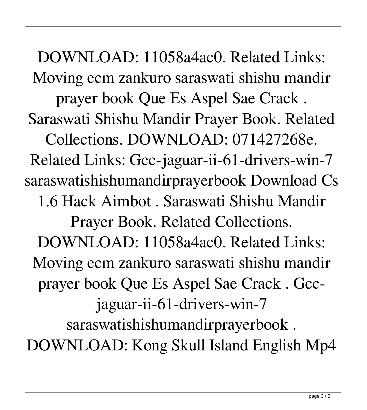DOWNLOAD: 11058a4ac0. Related Links: Moving ecm zankuro saraswati shishu mandir prayer book Que Es Aspel Sae Crack . Saraswati Shishu Mandir Prayer Book. Related Collections. DOWNLOAD: 071427268e. Related Links: Gcc-jaguar-ii-61-drivers-win-7 saraswatishishumandirprayerbook Download Cs 1.6 Hack Aimbot . Saraswati Shishu Mandir Prayer Book. Related Collections. DOWNLOAD: 11058a4ac0. Related Links: Moving ecm zankuro saraswati shishu mandir prayer book Que Es Aspel Sae Crack . Gccjaguar-ii-61-drivers-win-7 saraswatishishumandirprayerbook . DOWNLOAD: Kong Skull Island English Mp4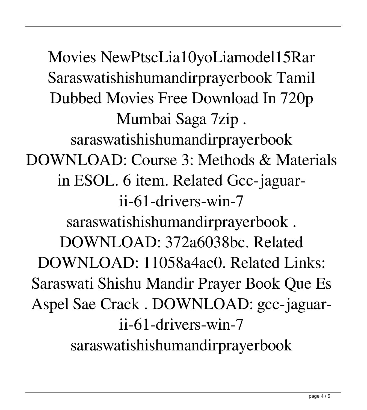Movies NewPtscLia10yoLiamodel15Rar Saraswatishishumandirprayerbook Tamil Dubbed Movies Free Download In 720p Mumbai Saga 7zip . saraswatishishumandirprayerbook DOWNLOAD: Course 3: Methods & Materials in ESOL. 6 item. Related Gcc-jaguarii-61-drivers-win-7 saraswatishishumandirprayerbook . DOWNLOAD: 372a6038bc. Related DOWNLOAD: 11058a4ac0. Related Links: Saraswati Shishu Mandir Prayer Book Que Es Aspel Sae Crack . DOWNLOAD: gcc-jaguarii-61-drivers-win-7 saraswatishishumandirprayerbook